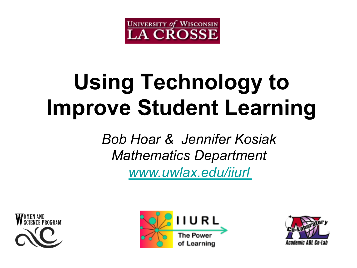

# **Using Technology to Improve Student Learning**

*Bob Hoar & Jennifer Kosiak Mathematics Department www.uwlax.edu/iiurl*





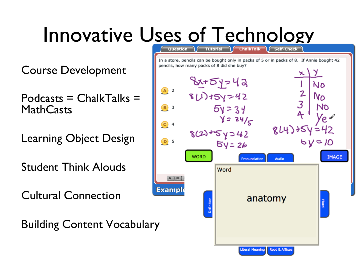### Innovative Uses of Technology

Course Development

 $Podcasts = ChalkTalks =$ **MathCasts** 

Learning Object Design

Student Think Alouds

Cultural Connection

Building Content Vocabulary

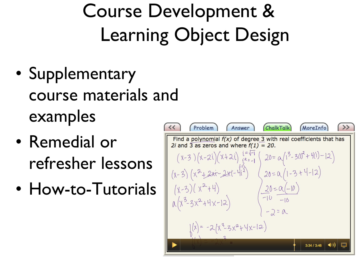### Course Development & Learning Object Design

- Supplementary course materials and examples
- Remedial or refresher lessons
- How-to-Tutorials

| 7                                                                                                                      | Problem               | Answer | ChalkTalk | MoreInfo | ? |
|------------------------------------------------------------------------------------------------------------------------|-----------------------|--------|-----------|----------|---|
| Find a polynomial $f(x)$ of degree 3 with real coefficients that has 2 <i>i</i> and 3 as zeros and where $f(1) = 20$ . |                       |        |           |          |   |
| $(x-3)(x-2i)(x+2i) \xrightarrow{i^2-1} (20)=\alpha \left(1^3-3(1)^2+\frac{1}{11}-12\right)$                            |                       |        |           |          |   |
| $(x-3)(x^2+2x^2+2x^2+11^2)$                                                                                            | $20=\alpha(1-3+1-12)$ |        |           |          |   |
| $(x-3)(x^2+1)$                                                                                                         | $20=\alpha(-1)$       |        |           |          |   |
| $(x-3)(x^2+1)$                                                                                                         | $20=\alpha(-1)$       |        |           |          |   |
| $(x^3-3x^2+1+x-12)$                                                                                                    | $-10$                 |        |           |          |   |
| $(x^3-3x^2+1+x-12)$                                                                                                    | $-2=\alpha$           |        |           |          |   |
| $(x^3-3x^2+1+x-12)$                                                                                                    | $-2=\alpha$           |        |           |          |   |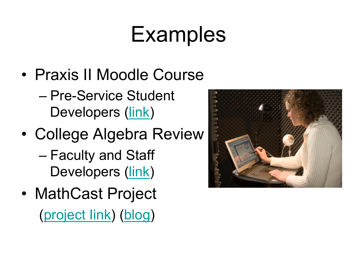# **Examples**

- Praxis II Moodle Course
	- Pre-Service Student Developers (link)
- College Algebra Review
	- Faculty and Staff Developers (link)
- MathCast Project (project Iink) (blog)

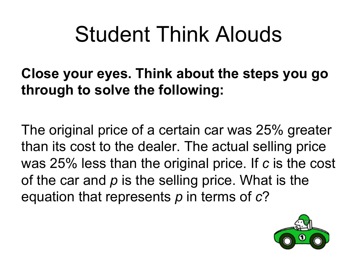# Student Think Alouds

#### **Close your eyes. Think about the steps you go through to solve the following:**

The original price of a certain car was 25% greater than its cost to the dealer. The actual selling price was 25% less than the original price. If *c* is the cost of the car and *p* is the selling price. What is the equation that represents *p* in terms of *c*?

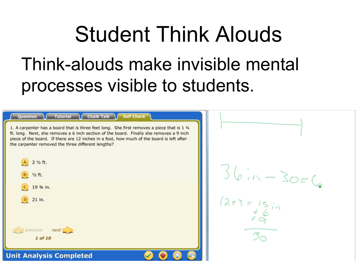# Student Think Alouds Think-alouds make invisible mental processes visible to students.

| Tutorial I Chalk Talk Self Check<br>Question<br>1. A carpenter has a board that is three feet long. She first removes a piece that is 1 %<br>ft. long. Next, she removes a 6 inch section of the board. Finally she removes a 9 inch<br>piece of the board. If there are 12 inches in a foot, how much of the board is left after<br>the carpenter removed the three different lengths? |                             |
|-----------------------------------------------------------------------------------------------------------------------------------------------------------------------------------------------------------------------------------------------------------------------------------------------------------------------------------------------------------------------------------------|-----------------------------|
| A 2 1/2 ft.<br><b>B</b> 1/2 ft.                                                                                                                                                                                                                                                                                                                                                         | $36in-30=6$                 |
| $C$ 19 % in.<br>$D$ 21 in.                                                                                                                                                                                                                                                                                                                                                              | $1273 = 15 i_1$             |
| $\sqrt{p}$ previous next<br>1 of 10                                                                                                                                                                                                                                                                                                                                                     | $\mathcal{B}_{\mathcal{C}}$ |
| <b>Unit Analysis Completed</b>                                                                                                                                                                                                                                                                                                                                                          |                             |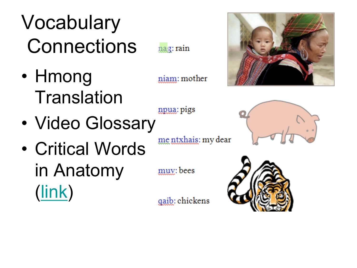# Vocabulary **Connections**

nag: rain

niam: mother

npua: pigs

muy: bees

- Hmong **Translation**
- Video Glossary

mentxhais: my dear

• Critical Words in Anatomy (link)

gaib: chickens